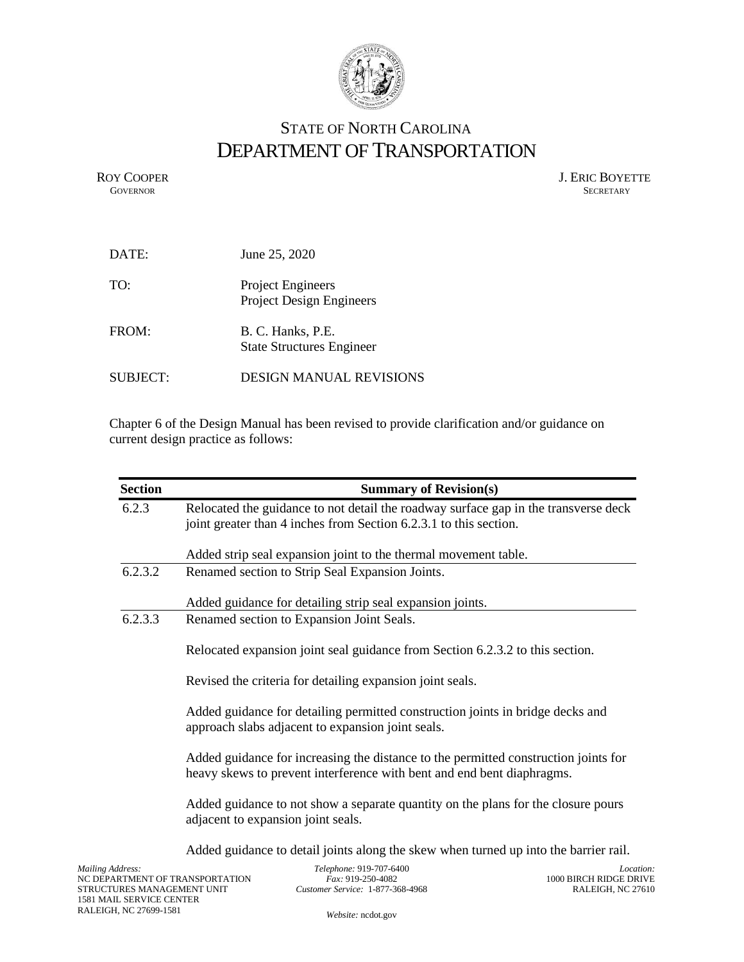

## STATE OF NORTH CAROLINA DEPARTMENT OF TRANSPORTATION

ROY COOPER J. ERIC BOYETTE GOVERNOR SECRETARY SECRETARY **GOVERNOR** SECRETARY

| DATE:           | June 25, 2020                                         |
|-----------------|-------------------------------------------------------|
| TO:             | Project Engineers<br><b>Project Design Engineers</b>  |
| FROM:           | B. C. Hanks, P.E.<br><b>State Structures Engineer</b> |
| <b>SUBJECT:</b> | <b>DESIGN MANUAL REVISIONS</b>                        |

Chapter 6 of the Design Manual has been revised to provide clarification and/or guidance on current design practice as follows:

| <b>Section</b>                        |                                                                                                                                                               | <b>Summary of Revision(s)</b>                                                                                                                            |                                                       |
|---------------------------------------|---------------------------------------------------------------------------------------------------------------------------------------------------------------|----------------------------------------------------------------------------------------------------------------------------------------------------------|-------------------------------------------------------|
| 6.2.3                                 |                                                                                                                                                               | Relocated the guidance to not detail the roadway surface gap in the transverse deck<br>joint greater than 4 inches from Section 6.2.3.1 to this section. |                                                       |
|                                       |                                                                                                                                                               | Added strip seal expansion joint to the thermal movement table.                                                                                          |                                                       |
| 6.2.3.2                               |                                                                                                                                                               | Renamed section to Strip Seal Expansion Joints.                                                                                                          |                                                       |
|                                       |                                                                                                                                                               | Added guidance for detailing strip seal expansion joints.                                                                                                |                                                       |
| 6.2.3.3                               |                                                                                                                                                               | Renamed section to Expansion Joint Seals.                                                                                                                |                                                       |
|                                       | Relocated expansion joint seal guidance from Section 6.2.3.2 to this section.                                                                                 |                                                                                                                                                          |                                                       |
|                                       | Revised the criteria for detailing expansion joint seals.                                                                                                     |                                                                                                                                                          |                                                       |
|                                       | Added guidance for detailing permitted construction joints in bridge decks and<br>approach slabs adjacent to expansion joint seals.                           |                                                                                                                                                          |                                                       |
|                                       | Added guidance for increasing the distance to the permitted construction joints for<br>heavy skews to prevent interference with bent and end bent diaphragms. |                                                                                                                                                          |                                                       |
|                                       | Added guidance to not show a separate quantity on the plans for the closure pours<br>adjacent to expansion joint seals.                                       |                                                                                                                                                          |                                                       |
|                                       |                                                                                                                                                               | Added guidance to detail joints along the skew when turned up into the barrier rail.                                                                     |                                                       |
| Address:<br>ELIDER MANJACEMENTE LINIT | ARTMENT OF TRANSPORTATION                                                                                                                                     | Telephone: 919-707-6400<br>Fax: 919-250-4082<br>$C_{11}$ + $C_{21}$ $C_{31}$ $C_{41}$ $C_{42}$ $C_{41}$ $C_{42}$ $C_{43}$ $C_{44}$ $C_{45}$              | Locatic<br>1000 BIRCH RIDGE DRIV<br>D AL EICHL MC 276 |